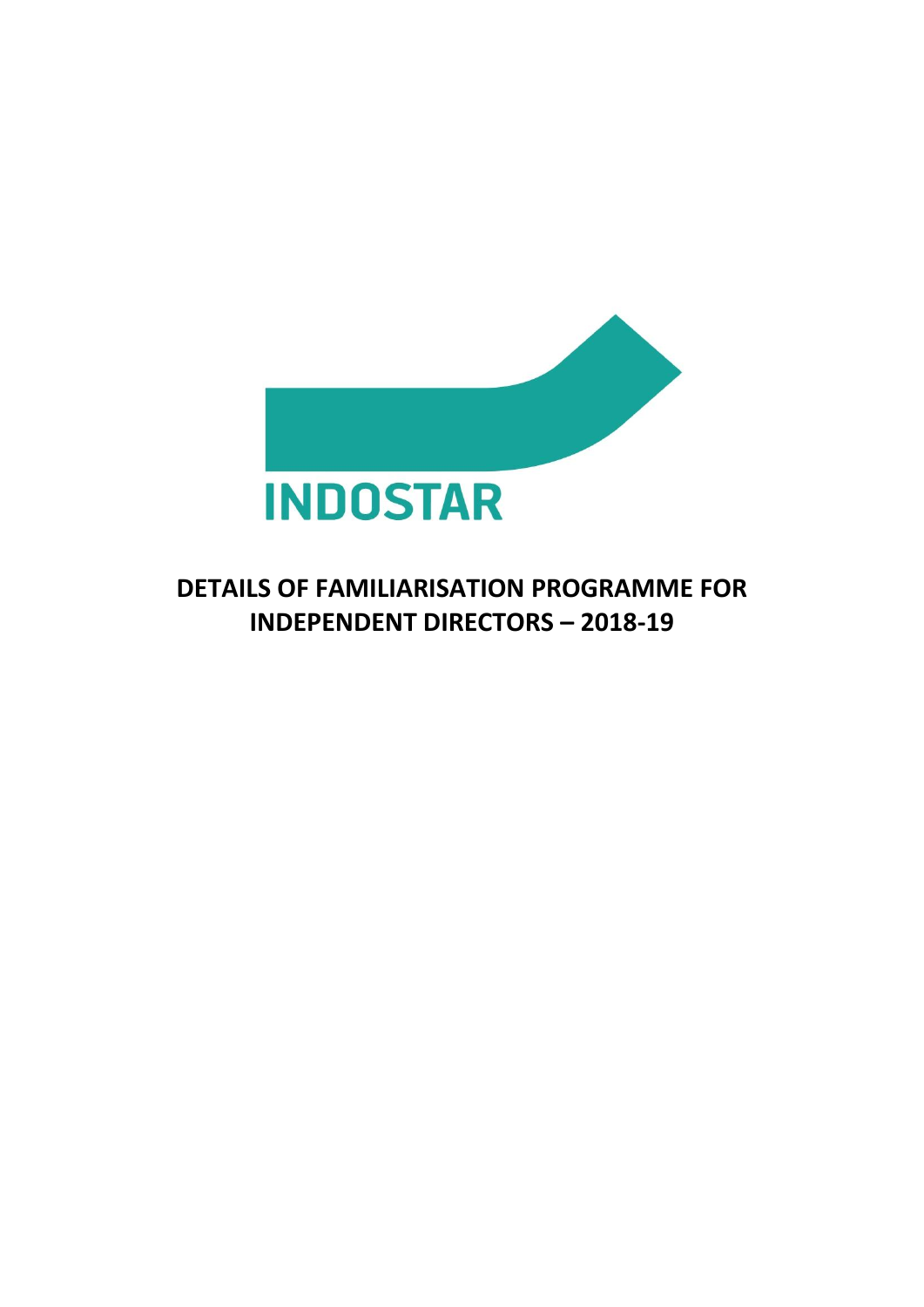

## **DETAILS OF FAMILIARISATION PROGRAMME FOR INDEPENDENT DIRECTORS – 2018-19**